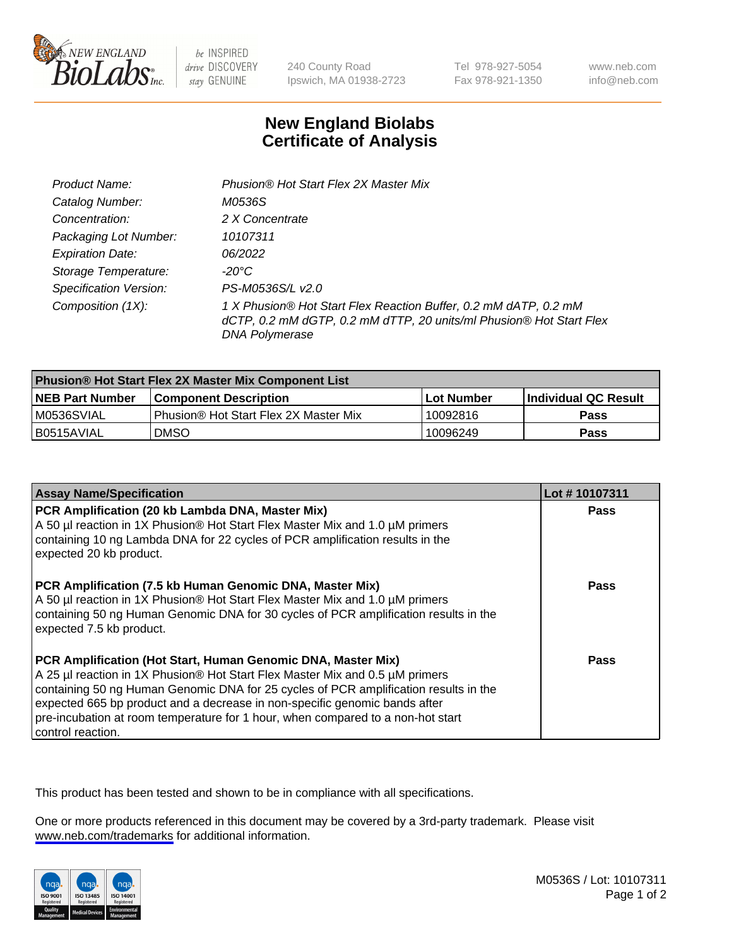

be INSPIRED drive DISCOVERY stay GENUINE

240 County Road Ipswich, MA 01938-2723 Tel 978-927-5054 Fax 978-921-1350

www.neb.com info@neb.com

## **New England Biolabs Certificate of Analysis**

| Product Name:                 | Phusion® Hot Start Flex 2X Master Mix                                                                                                                     |
|-------------------------------|-----------------------------------------------------------------------------------------------------------------------------------------------------------|
| Catalog Number:               | M0536S                                                                                                                                                    |
| Concentration:                | 2 X Concentrate                                                                                                                                           |
| Packaging Lot Number:         | 10107311                                                                                                                                                  |
| <b>Expiration Date:</b>       | 06/2022                                                                                                                                                   |
| Storage Temperature:          | -20°C                                                                                                                                                     |
| <b>Specification Version:</b> | PS-M0536S/L v2.0                                                                                                                                          |
| Composition (1X):             | 1 X Phusion® Hot Start Flex Reaction Buffer, 0.2 mM dATP, 0.2 mM<br>dCTP, 0.2 mM dGTP, 0.2 mM dTTP, 20 units/ml Phusion® Hot Start Flex<br>DNA Polymerase |

| <b>Phusion® Hot Start Flex 2X Master Mix Component List</b> |                                              |            |                      |  |
|-------------------------------------------------------------|----------------------------------------------|------------|----------------------|--|
| <b>NEB Part Number</b>                                      | <b>Component Description</b>                 | Lot Number | Individual QC Result |  |
| IM0536SVIAL                                                 | <b>Phusion® Hot Start Flex 2X Master Mix</b> | 10092816   | Pass                 |  |
| I B0515AVIAL                                                | <b>DMSO</b>                                  | 10096249   | Pass                 |  |

| <b>Assay Name/Specification</b>                                                                                                                                                                                                                                                                                                                                                                                            | Lot #10107311 |
|----------------------------------------------------------------------------------------------------------------------------------------------------------------------------------------------------------------------------------------------------------------------------------------------------------------------------------------------------------------------------------------------------------------------------|---------------|
| PCR Amplification (20 kb Lambda DNA, Master Mix)<br>A 50 µl reaction in 1X Phusion® Hot Start Flex Master Mix and 1.0 µM primers<br>containing 10 ng Lambda DNA for 22 cycles of PCR amplification results in the<br>expected 20 kb product.                                                                                                                                                                               | <b>Pass</b>   |
| PCR Amplification (7.5 kb Human Genomic DNA, Master Mix)<br>A 50 µl reaction in 1X Phusion® Hot Start Flex Master Mix and 1.0 µM primers<br>containing 50 ng Human Genomic DNA for 30 cycles of PCR amplification results in the<br>expected 7.5 kb product.                                                                                                                                                               | <b>Pass</b>   |
| PCR Amplification (Hot Start, Human Genomic DNA, Master Mix)<br>A 25 µl reaction in 1X Phusion® Hot Start Flex Master Mix and 0.5 µM primers<br>containing 50 ng Human Genomic DNA for 25 cycles of PCR amplification results in the<br>expected 665 bp product and a decrease in non-specific genomic bands after<br>pre-incubation at room temperature for 1 hour, when compared to a non-hot start<br>control reaction. | Pass          |

This product has been tested and shown to be in compliance with all specifications.

One or more products referenced in this document may be covered by a 3rd-party trademark. Please visit <www.neb.com/trademarks>for additional information.